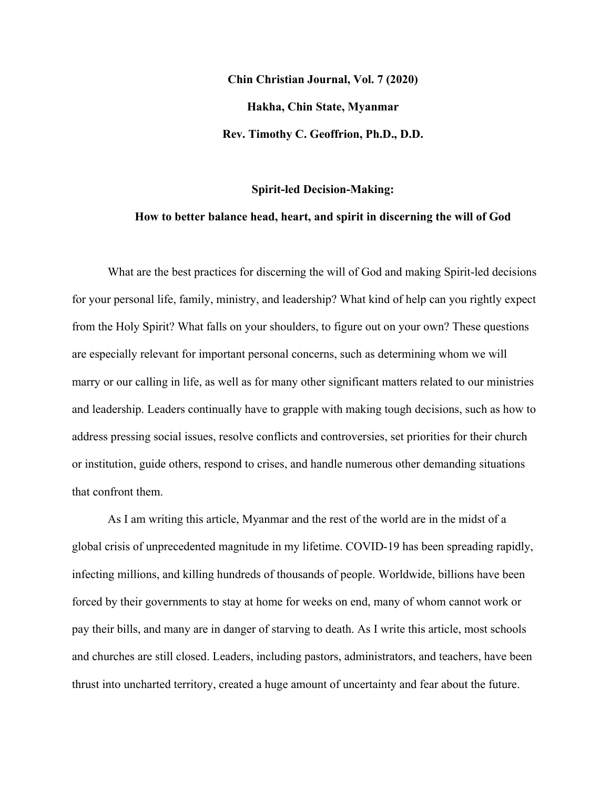**Chin Christian Journal, Vol. 7 (2020) Hakha, Chin State, Myanmar Rev. Timothy C. Geoffrion, Ph.D., D.D.**

#### **Spirit-led Decision-Making:**

# **How to better balance head, heart, and spirit in discerning the will of God**

What are the best practices for discerning the will of God and making Spirit-led decisions for your personal life, family, ministry, and leadership? What kind of help can you rightly expect from the Holy Spirit? What falls on your shoulders, to figure out on your own? These questions are especially relevant for important personal concerns, such as determining whom we will marry or our calling in life, as well as for many other significant matters related to our ministries and leadership. Leaders continually have to grapple with making tough decisions, such as how to address pressing social issues, resolve conflicts and controversies, set priorities for their church or institution, guide others, respond to crises, and handle numerous other demanding situations that confront them.

As I am writing this article, Myanmar and the rest of the world are in the midst of a global crisis of unprecedented magnitude in my lifetime. COVID-19 has been spreading rapidly, infecting millions, and killing hundreds of thousands of people. Worldwide, billions have been forced by their governments to stay at home for weeks on end, many of whom cannot work or pay their bills, and many are in danger of starving to death. As I write this article, most schools and churches are still closed. Leaders, including pastors, administrators, and teachers, have been thrust into uncharted territory, created a huge amount of uncertainty and fear about the future.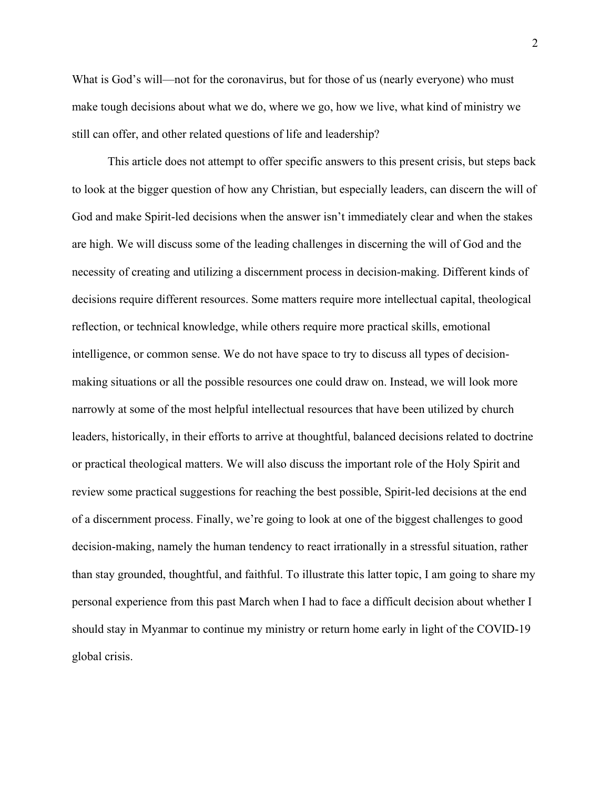What is God's will—not for the coronavirus, but for those of us (nearly everyone) who must make tough decisions about what we do, where we go, how we live, what kind of ministry we still can offer, and other related questions of life and leadership?

This article does not attempt to offer specific answers to this present crisis, but steps back to look at the bigger question of how any Christian, but especially leaders, can discern the will of God and make Spirit-led decisions when the answer isn't immediately clear and when the stakes are high. We will discuss some of the leading challenges in discerning the will of God and the necessity of creating and utilizing a discernment process in decision-making. Different kinds of decisions require different resources. Some matters require more intellectual capital, theological reflection, or technical knowledge, while others require more practical skills, emotional intelligence, or common sense. We do not have space to try to discuss all types of decisionmaking situations or all the possible resources one could draw on. Instead, we will look more narrowly at some of the most helpful intellectual resources that have been utilized by church leaders, historically, in their efforts to arrive at thoughtful, balanced decisions related to doctrine or practical theological matters. We will also discuss the important role of the Holy Spirit and review some practical suggestions for reaching the best possible, Spirit-led decisions at the end of a discernment process. Finally, we're going to look at one of the biggest challenges to good decision-making, namely the human tendency to react irrationally in a stressful situation, rather than stay grounded, thoughtful, and faithful. To illustrate this latter topic, I am going to share my personal experience from this past March when I had to face a difficult decision about whether I should stay in Myanmar to continue my ministry or return home early in light of the COVID-19 global crisis.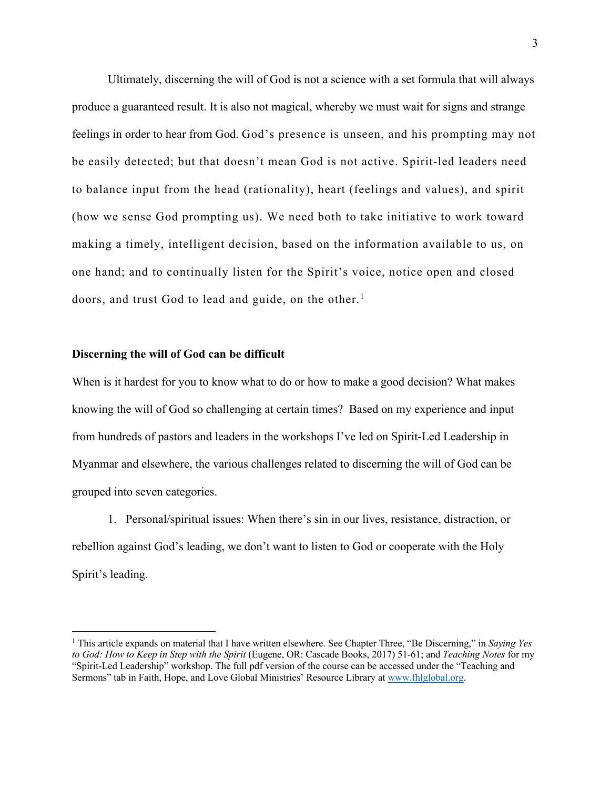Ultimately, discerning the will of God is not a science with a set formula that will always produce a guaranteed result. It is also not magical, whereby we must wait for signs and strange feelings in order to hear from God. God's presence is unseen, and his prompting may not be easily detected; but that doesn't mean God is not active. Spirit-led leaders need to balance input from the head (rationality), heart (feelings and values), and spirit (how we sense God prompting us). We need both to take initiative to work toward making a timely, intelligent decision, based on the information available to us, on one hand; and to continually listen for the Spirit's voice, notice open and closed doors, and trust God to lead and guide, on the other. 1

### **Discerning the will of God can be difficult**

When is it hardest for you to know what to do or how to make a good decision? What makes knowing the will of God so challenging at certain times? Based on my experience and input from hundreds of pastors and leaders in the workshops I've led on Spirit-Led Leadership in Myanmar and elsewhere, the various challenges related to discerning the will of God can be grouped into seven categories.

1. Personal/spiritual issues: When there's sin in our lives, resistance, distraction, or rebellion against God's leading, we don't want to listen to God or cooperate with the Holy Spirit's leading.

<sup>1</sup> This article expands on material that I have written elsewhere. See Chapter Three, "Be Discerning," in *Saying Yes to God: How to Keep in Step with the Spirit* (Eugene, OR: Cascade Books, 2017) 51-61; and *Teaching Notes* for my "Spirit-Led Leadership" workshop. The full pdf version of the course can be accessed under the "Teaching and Sermons" tab in Faith, Hope, and Love Global Ministries' Resource Library at www.fhlglobal.org.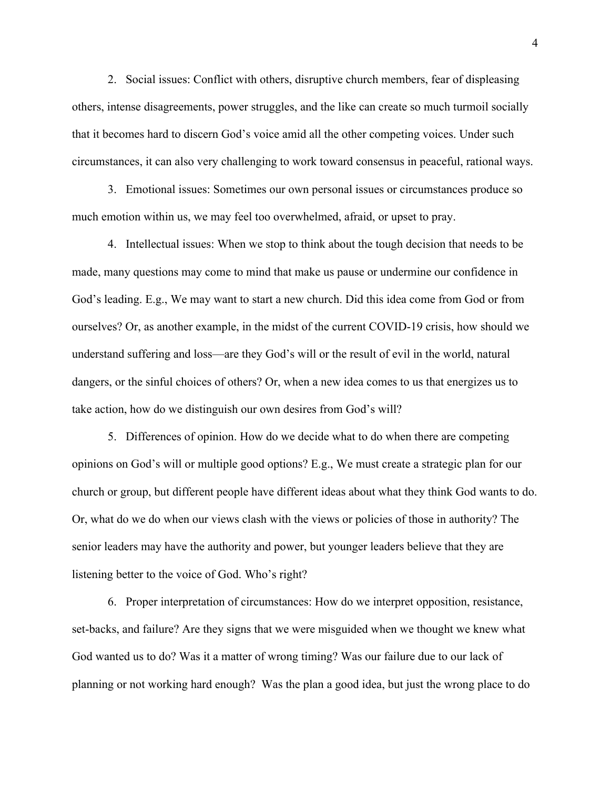2. Social issues: Conflict with others, disruptive church members, fear of displeasing others, intense disagreements, power struggles, and the like can create so much turmoil socially that it becomes hard to discern God's voice amid all the other competing voices. Under such circumstances, it can also very challenging to work toward consensus in peaceful, rational ways.

3. Emotional issues: Sometimes our own personal issues or circumstances produce so much emotion within us, we may feel too overwhelmed, afraid, or upset to pray.

4. Intellectual issues: When we stop to think about the tough decision that needs to be made, many questions may come to mind that make us pause or undermine our confidence in God's leading. E.g., We may want to start a new church. Did this idea come from God or from ourselves? Or, as another example, in the midst of the current COVID-19 crisis, how should we understand suffering and loss—are they God's will or the result of evil in the world, natural dangers, or the sinful choices of others? Or, when a new idea comes to us that energizes us to take action, how do we distinguish our own desires from God's will?

5. Differences of opinion. How do we decide what to do when there are competing opinions on God's will or multiple good options? E.g., We must create a strategic plan for our church or group, but different people have different ideas about what they think God wants to do. Or, what do we do when our views clash with the views or policies of those in authority? The senior leaders may have the authority and power, but younger leaders believe that they are listening better to the voice of God. Who's right?

6. Proper interpretation of circumstances: How do we interpret opposition, resistance, set-backs, and failure? Are they signs that we were misguided when we thought we knew what God wanted us to do? Was it a matter of wrong timing? Was our failure due to our lack of planning or not working hard enough? Was the plan a good idea, but just the wrong place to do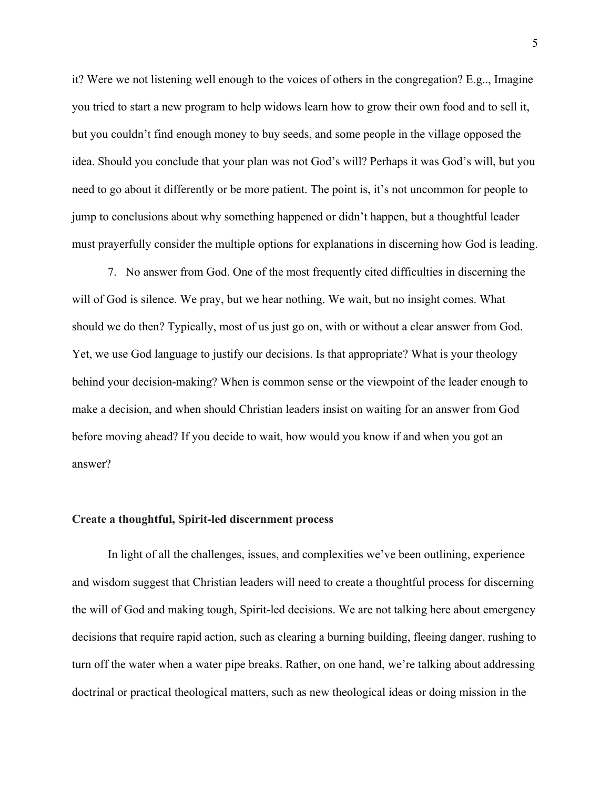it? Were we not listening well enough to the voices of others in the congregation? E.g.., Imagine you tried to start a new program to help widows learn how to grow their own food and to sell it, but you couldn't find enough money to buy seeds, and some people in the village opposed the idea. Should you conclude that your plan was not God's will? Perhaps it was God's will, but you need to go about it differently or be more patient. The point is, it's not uncommon for people to jump to conclusions about why something happened or didn't happen, but a thoughtful leader must prayerfully consider the multiple options for explanations in discerning how God is leading.

7. No answer from God. One of the most frequently cited difficulties in discerning the will of God is silence. We pray, but we hear nothing. We wait, but no insight comes. What should we do then? Typically, most of us just go on, with or without a clear answer from God. Yet, we use God language to justify our decisions. Is that appropriate? What is your theology behind your decision-making? When is common sense or the viewpoint of the leader enough to make a decision, and when should Christian leaders insist on waiting for an answer from God before moving ahead? If you decide to wait, how would you know if and when you got an answer?

#### **Create a thoughtful, Spirit-led discernment process**

In light of all the challenges, issues, and complexities we've been outlining, experience and wisdom suggest that Christian leaders will need to create a thoughtful process for discerning the will of God and making tough, Spirit-led decisions. We are not talking here about emergency decisions that require rapid action, such as clearing a burning building, fleeing danger, rushing to turn off the water when a water pipe breaks. Rather, on one hand, we're talking about addressing doctrinal or practical theological matters, such as new theological ideas or doing mission in the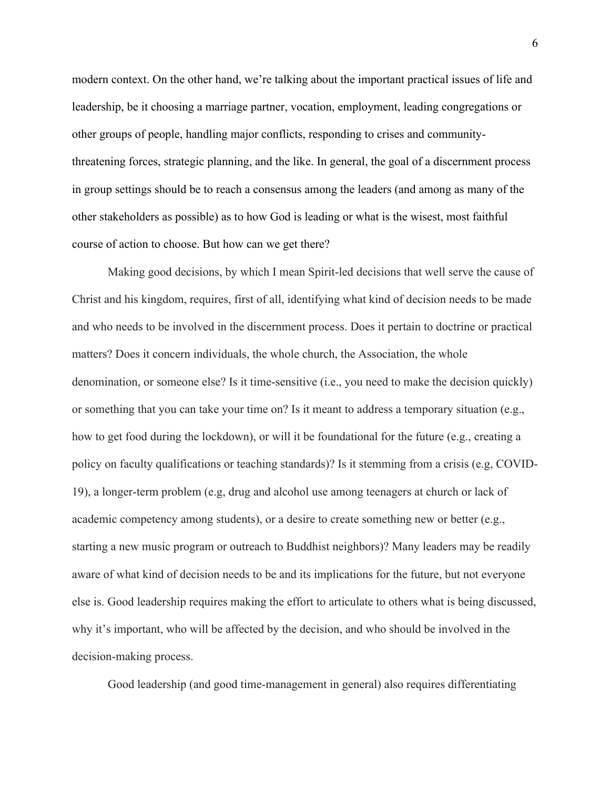modern context. On the other hand, we're talking about the important practical issues of life and leadership, be it choosing a marriage partner, vocation, employment, leading congregations or other groups of people, handling major conflicts, responding to crises and communitythreatening forces, strategic planning, and the like. In general, the goal of a discernment process in group settings should be to reach a consensus among the leaders (and among as many of the other stakeholders as possible) as to how God is leading or what is the wisest, most faithful course of action to choose. But how can we get there?

Making good decisions, by which I mean Spirit-led decisions that well serve the cause of Christ and his kingdom, requires, first of all, identifying what kind of decision needs to be made and who needs to be involved in the discernment process. Does it pertain to doctrine or practical matters? Does it concern individuals, the whole church, the Association, the whole denomination, or someone else? Is it time-sensitive (i.e., you need to make the decision quickly) or something that you can take your time on? Is it meant to address a temporary situation (e.g., how to get food during the lockdown), or will it be foundational for the future (e.g., creating a policy on faculty qualifications or teaching standards)? Is it stemming from a crisis (e.g, COVID-19), a longer-term problem (e.g, drug and alcohol use among teenagers at church or lack of academic competency among students), or a desire to create something new or better (e.g., starting a new music program or outreach to Buddhist neighbors)? Many leaders may be readily aware of what kind of decision needs to be and its implications for the future, but not everyone else is. Good leadership requires making the effort to articulate to others what is being discussed, why it's important, who will be affected by the decision, and who should be involved in the decision-making process.

Good leadership (and good time-management in general) also requires differentiating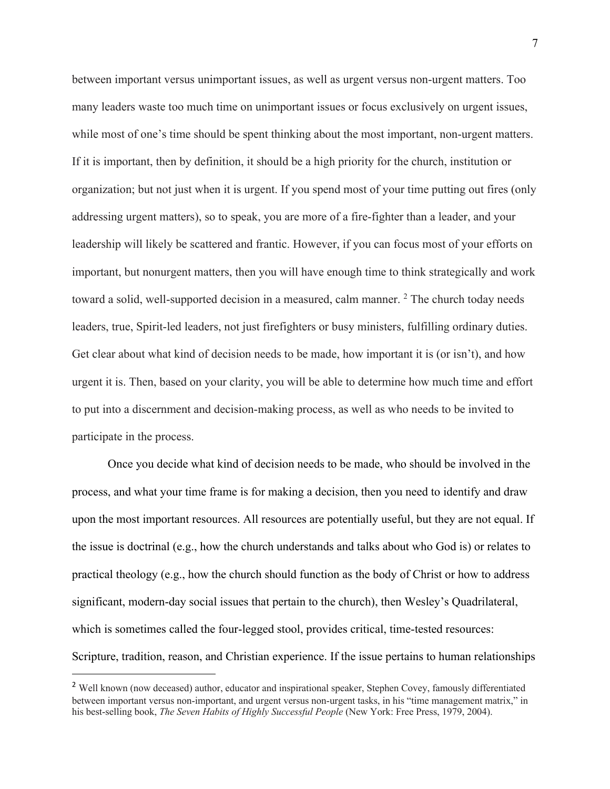between important versus unimportant issues, as well as urgent versus non-urgent matters. Too many leaders waste too much time on unimportant issues or focus exclusively on urgent issues, while most of one's time should be spent thinking about the most important, non-urgent matters. If it is important, then by definition, it should be a high priority for the church, institution or organization; but not just when it is urgent. If you spend most of your time putting out fires (only addressing urgent matters), so to speak, you are more of a fire-fighter than a leader, and your leadership will likely be scattered and frantic. However, if you can focus most of your efforts on important, but nonurgent matters, then you will have enough time to think strategically and work toward a solid, well-supported decision in a measured, calm manner.  $2$  The church today needs leaders, true, Spirit-led leaders, not just firefighters or busy ministers, fulfilling ordinary duties. Get clear about what kind of decision needs to be made, how important it is (or isn't), and how urgent it is. Then, based on your clarity, you will be able to determine how much time and effort to put into a discernment and decision-making process, as well as who needs to be invited to participate in the process.

Once you decide what kind of decision needs to be made, who should be involved in the process, and what your time frame is for making a decision, then you need to identify and draw upon the most important resources. All resources are potentially useful, but they are not equal. If the issue is doctrinal (e.g., how the church understands and talks about who God is) or relates to practical theology (e.g., how the church should function as the body of Christ or how to address significant, modern-day social issues that pertain to the church), then Wesley's Quadrilateral, which is sometimes called the four-legged stool, provides critical, time-tested resources: Scripture, tradition, reason, and Christian experience. If the issue pertains to human relationships

<sup>&</sup>lt;sup>2</sup> Well known (now deceased) author, educator and inspirational speaker, Stephen Covey, famously differentiated between important versus non-important, and urgent versus non-urgent tasks, in his "time management matrix," in his best-selling book, *The Seven Habits of Highly Successful People* (New York: Free Press, 1979, 2004).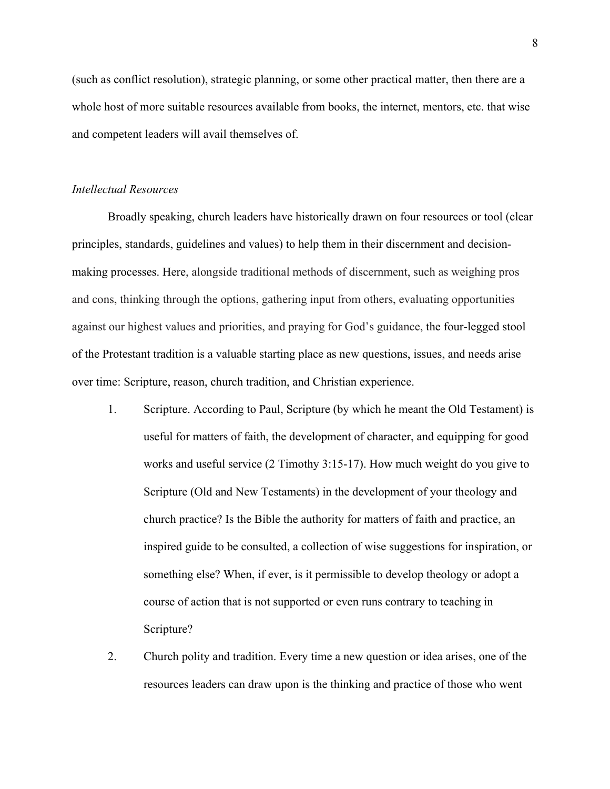(such as conflict resolution), strategic planning, or some other practical matter, then there are a whole host of more suitable resources available from books, the internet, mentors, etc. that wise and competent leaders will avail themselves of.

### *Intellectual Resources*

Broadly speaking, church leaders have historically drawn on four resources or tool (clear principles, standards, guidelines and values) to help them in their discernment and decisionmaking processes. Here, alongside traditional methods of discernment, such as weighing pros and cons, thinking through the options, gathering input from others, evaluating opportunities against our highest values and priorities, and praying for God's guidance, the four-legged stool of the Protestant tradition is a valuable starting place as new questions, issues, and needs arise over time: Scripture, reason, church tradition, and Christian experience.

- 1. Scripture. According to Paul, Scripture (by which he meant the Old Testament) is useful for matters of faith, the development of character, and equipping for good works and useful service (2 Timothy 3:15-17). How much weight do you give to Scripture (Old and New Testaments) in the development of your theology and church practice? Is the Bible the authority for matters of faith and practice, an inspired guide to be consulted, a collection of wise suggestions for inspiration, or something else? When, if ever, is it permissible to develop theology or adopt a course of action that is not supported or even runs contrary to teaching in Scripture?
- 2. Church polity and tradition. Every time a new question or idea arises, one of the resources leaders can draw upon is the thinking and practice of those who went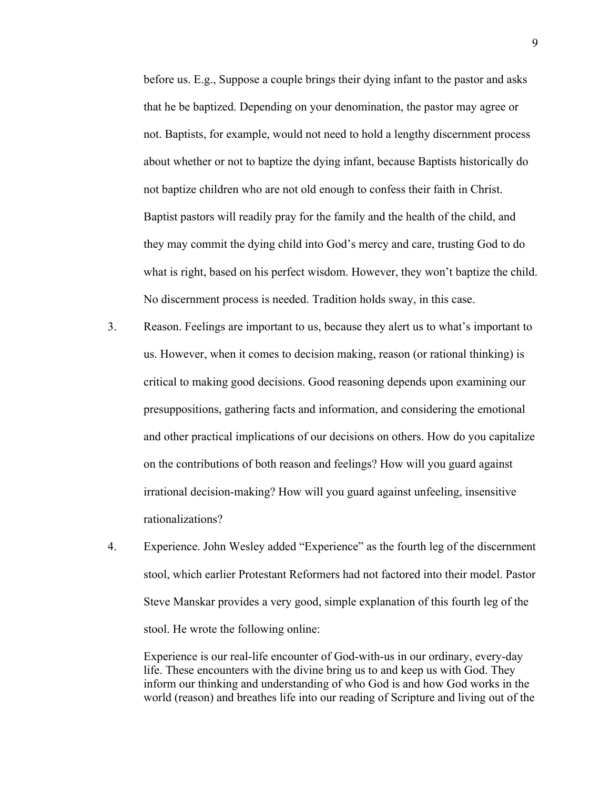before us. E.g., Suppose a couple brings their dying infant to the pastor and asks that he be baptized. Depending on your denomination, the pastor may agree or not. Baptists, for example, would not need to hold a lengthy discernment process about whether or not to baptize the dying infant, because Baptists historically do not baptize children who are not old enough to confess their faith in Christ. Baptist pastors will readily pray for the family and the health of the child, and they may commit the dying child into God's mercy and care, trusting God to do what is right, based on his perfect wisdom. However, they won't baptize the child. No discernment process is needed. Tradition holds sway, in this case.

- 3. Reason. Feelings are important to us, because they alert us to what's important to us. However, when it comes to decision making, reason (or rational thinking) is critical to making good decisions. Good reasoning depends upon examining our presuppositions, gathering facts and information, and considering the emotional and other practical implications of our decisions on others. How do you capitalize on the contributions of both reason and feelings? How will you guard against irrational decision-making? How will you guard against unfeeling, insensitive rationalizations?
- 4. Experience. John Wesley added "Experience" as the fourth leg of the discernment stool, which earlier Protestant Reformers had not factored into their model. Pastor Steve Manskar provides a very good, simple explanation of this fourth leg of the stool. He wrote the following online:

Experience is our real-life encounter of God-with-us in our ordinary, every-day life. These encounters with the divine bring us to and keep us with God. They inform our thinking and understanding of who God is and how God works in the world (reason) and breathes life into our reading of Scripture and living out of the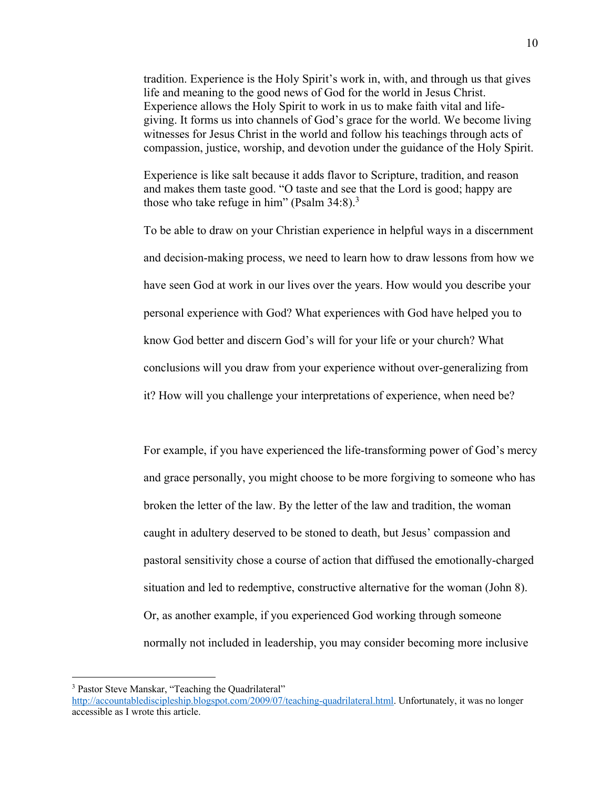tradition. Experience is the Holy Spirit's work in, with, and through us that gives life and meaning to the good news of God for the world in Jesus Christ. Experience allows the Holy Spirit to work in us to make faith vital and lifegiving. It forms us into channels of God's grace for the world. We become living witnesses for Jesus Christ in the world and follow his teachings through acts of compassion, justice, worship, and devotion under the guidance of the Holy Spirit.

Experience is like salt because it adds flavor to Scripture, tradition, and reason and makes them taste good. "O taste and see that the Lord is good; happy are those who take refuge in him" (Psalm  $34:8$ ).<sup>3</sup>

To be able to draw on your Christian experience in helpful ways in a discernment and decision-making process, we need to learn how to draw lessons from how we have seen God at work in our lives over the years. How would you describe your personal experience with God? What experiences with God have helped you to know God better and discern God's will for your life or your church? What conclusions will you draw from your experience without over-generalizing from it? How will you challenge your interpretations of experience, when need be?

For example, if you have experienced the life-transforming power of God's mercy and grace personally, you might choose to be more forgiving to someone who has broken the letter of the law. By the letter of the law and tradition, the woman caught in adultery deserved to be stoned to death, but Jesus' compassion and pastoral sensitivity chose a course of action that diffused the emotionally-charged situation and led to redemptive, constructive alternative for the woman (John 8). Or, as another example, if you experienced God working through someone normally not included in leadership, you may consider becoming more inclusive

<sup>&</sup>lt;sup>3</sup> Pastor Steve Manskar, "Teaching the Quadrilateral"

http://accountablediscipleship.blogspot.com/2009/07/teaching-quadrilateral.html. Unfortunately, it was no longer accessible as I wrote this article.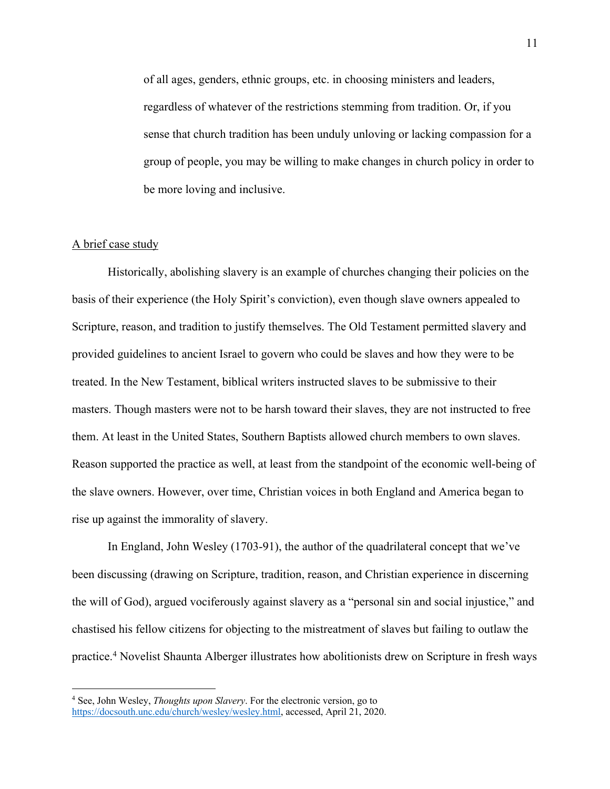of all ages, genders, ethnic groups, etc. in choosing ministers and leaders, regardless of whatever of the restrictions stemming from tradition. Or, if you sense that church tradition has been unduly unloving or lacking compassion for a group of people, you may be willing to make changes in church policy in order to be more loving and inclusive.

## A brief case study

Historically, abolishing slavery is an example of churches changing their policies on the basis of their experience (the Holy Spirit's conviction), even though slave owners appealed to Scripture, reason, and tradition to justify themselves. The Old Testament permitted slavery and provided guidelines to ancient Israel to govern who could be slaves and how they were to be treated. In the New Testament, biblical writers instructed slaves to be submissive to their masters. Though masters were not to be harsh toward their slaves, they are not instructed to free them. At least in the United States, Southern Baptists allowed church members to own slaves. Reason supported the practice as well, at least from the standpoint of the economic well-being of the slave owners. However, over time, Christian voices in both England and America began to rise up against the immorality of slavery.

In England, John Wesley (1703-91), the author of the quadrilateral concept that we've been discussing (drawing on Scripture, tradition, reason, and Christian experience in discerning the will of God), argued vociferously against slavery as a "personal sin and social injustice," and chastised his fellow citizens for objecting to the mistreatment of slaves but failing to outlaw the practice.4 Novelist Shaunta Alberger illustrates how abolitionists drew on Scripture in fresh ways

<sup>4</sup> See, John Wesley, *Thoughts upon Slavery*. For the electronic version, go to https://docsouth.unc.edu/church/wesley/wesley.html, accessed, April 21, 2020.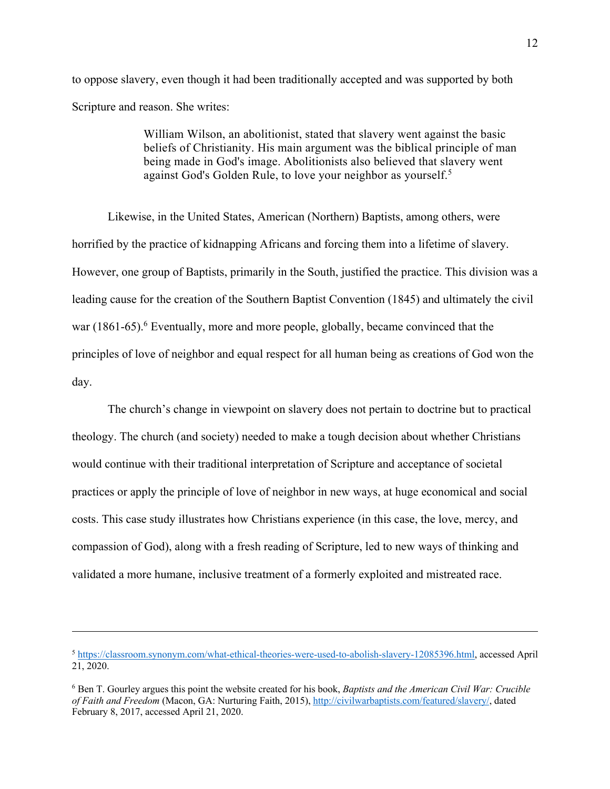to oppose slavery, even though it had been traditionally accepted and was supported by both Scripture and reason. She writes:

> William Wilson, an abolitionist, stated that slavery went against the basic beliefs of Christianity. His main argument was the biblical principle of man being made in God's image. Abolitionists also believed that slavery went against God's Golden Rule, to love your neighbor as yourself.<sup>5</sup>

Likewise, in the United States, American (Northern) Baptists, among others, were horrified by the practice of kidnapping Africans and forcing them into a lifetime of slavery. However, one group of Baptists, primarily in the South, justified the practice. This division was a leading cause for the creation of the Southern Baptist Convention (1845) and ultimately the civil war (1861-65).<sup>6</sup> Eventually, more and more people, globally, became convinced that the principles of love of neighbor and equal respect for all human being as creations of God won the day.

The church's change in viewpoint on slavery does not pertain to doctrine but to practical theology. The church (and society) needed to make a tough decision about whether Christians would continue with their traditional interpretation of Scripture and acceptance of societal practices or apply the principle of love of neighbor in new ways, at huge economical and social costs. This case study illustrates how Christians experience (in this case, the love, mercy, and compassion of God), along with a fresh reading of Scripture, led to new ways of thinking and validated a more humane, inclusive treatment of a formerly exploited and mistreated race.

<sup>5</sup> https://classroom.synonym.com/what-ethical-theories-were-used-to-abolish-slavery-12085396.html, accessed April 21, 2020.

<sup>6</sup> Ben T. Gourley argues this point the website created for his book, *Baptists and the American Civil War: Crucible of Faith and Freedom* (Macon, GA: Nurturing Faith, 2015), http://civilwarbaptists.com/featured/slavery/, dated February 8, 2017, accessed April 21, 2020.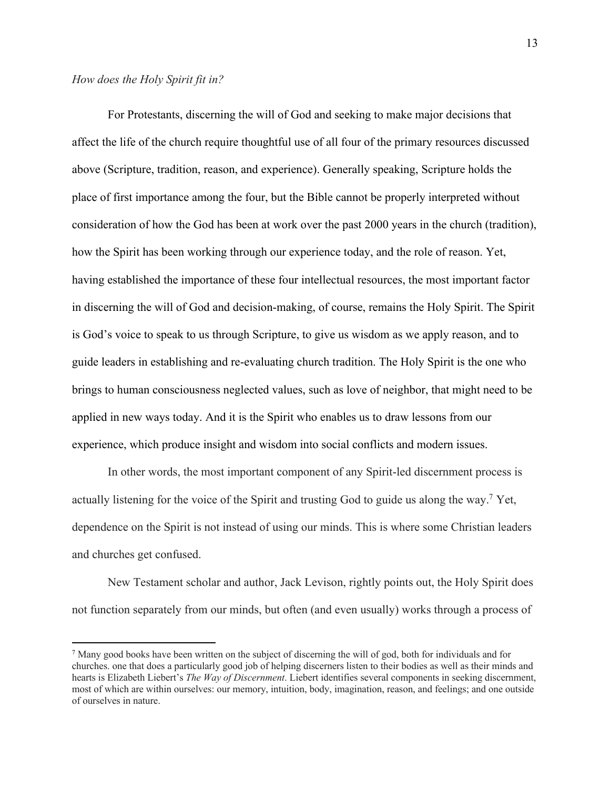For Protestants, discerning the will of God and seeking to make major decisions that affect the life of the church require thoughtful use of all four of the primary resources discussed above (Scripture, tradition, reason, and experience). Generally speaking, Scripture holds the place of first importance among the four, but the Bible cannot be properly interpreted without consideration of how the God has been at work over the past 2000 years in the church (tradition), how the Spirit has been working through our experience today, and the role of reason. Yet, having established the importance of these four intellectual resources, the most important factor in discerning the will of God and decision-making, of course, remains the Holy Spirit. The Spirit is God's voice to speak to us through Scripture, to give us wisdom as we apply reason, and to guide leaders in establishing and re-evaluating church tradition. The Holy Spirit is the one who brings to human consciousness neglected values, such as love of neighbor, that might need to be applied in new ways today. And it is the Spirit who enables us to draw lessons from our experience, which produce insight and wisdom into social conflicts and modern issues.

In other words, the most important component of any Spirit-led discernment process is actually listening for the voice of the Spirit and trusting God to guide us along the way.7 Yet, dependence on the Spirit is not instead of using our minds. This is where some Christian leaders and churches get confused.

New Testament scholar and author, Jack Levison, rightly points out, the Holy Spirit does not function separately from our minds, but often (and even usually) works through a process of

<sup>7</sup> Many good books have been written on the subject of discerning the will of god, both for individuals and for churches. one that does a particularly good job of helping discerners listen to their bodies as well as their minds and hearts is Elizabeth Liebert's *The Way of Discernment*. Liebert identifies several components in seeking discernment, most of which are within ourselves: our memory, intuition, body, imagination, reason, and feelings; and one outside of ourselves in nature.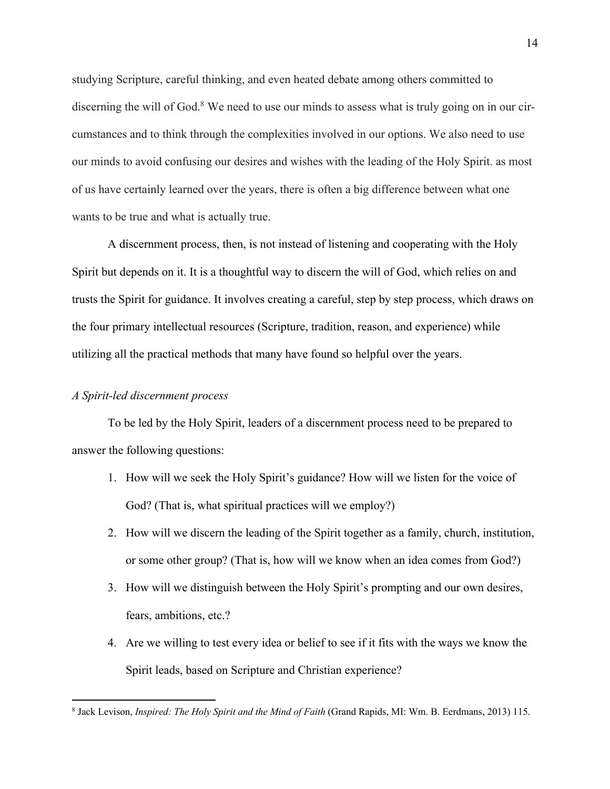studying Scripture, careful thinking, and even heated debate among others committed to discerning the will of God.<sup>8</sup> We need to use our minds to assess what is truly going on in our circumstances and to think through the complexities involved in our options. We also need to use our minds to avoid confusing our desires and wishes with the leading of the Holy Spirit. as most of us have certainly learned over the years, there is often a big difference between what one wants to be true and what is actually true.

A discernment process, then, is not instead of listening and cooperating with the Holy Spirit but depends on it. It is a thoughtful way to discern the will of God, which relies on and trusts the Spirit for guidance. It involves creating a careful, step by step process, which draws on the four primary intellectual resources (Scripture, tradition, reason, and experience) while utilizing all the practical methods that many have found so helpful over the years.

# *A Spirit-led discernment process*

To be led by the Holy Spirit, leaders of a discernment process need to be prepared to answer the following questions:

- 1. How will we seek the Holy Spirit's guidance? How will we listen for the voice of God? (That is, what spiritual practices will we employ?)
- 2. How will we discern the leading of the Spirit together as a family, church, institution, or some other group? (That is, how will we know when an idea comes from God?)
- 3. How will we distinguish between the Holy Spirit's prompting and our own desires, fears, ambitions, etc.?
- 4. Are we willing to test every idea or belief to see if it fits with the ways we know the Spirit leads, based on Scripture and Christian experience?

<sup>8</sup> Jack Levison, *Inspired: The Holy Spirit and the Mind of Faith* (Grand Rapids, MI: Wm. B. Eerdmans, 2013) 115.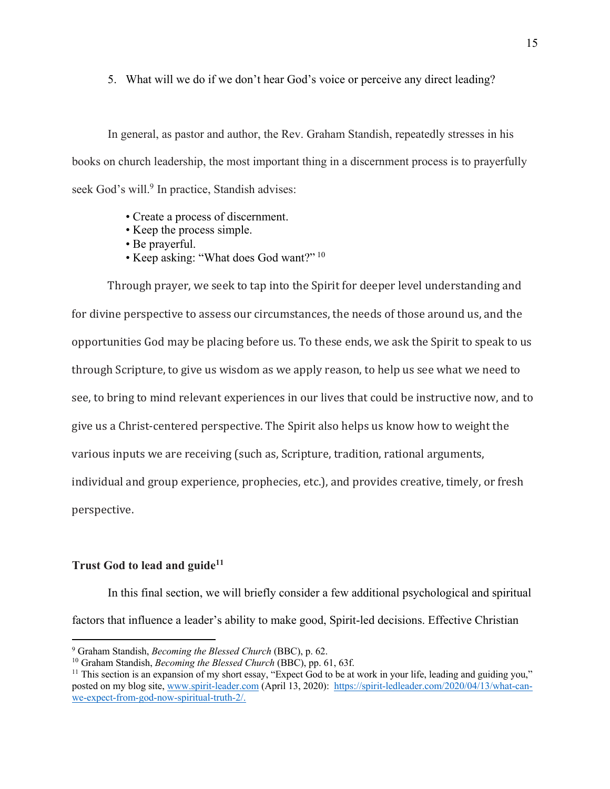5. What will we do if we don't hear God's voice or perceive any direct leading?

In general, as pastor and author, the Rev. Graham Standish, repeatedly stresses in his books on church leadership, the most important thing in a discernment process is to prayerfully seek God's will.<sup>9</sup> In practice, Standish advises:

- Create a process of discernment.
- Keep the process simple.
- Be prayerful.
- Keep asking: "What does God want?" <sup>10</sup>

Through prayer, we seek to tap into the Spirit for deeper level understanding and for divine perspective to assess our circumstances, the needs of those around us, and the opportunities God may be placing before us. To these ends, we ask the Spirit to speak to us through Scripture, to give us wisdom as we apply reason, to help us see what we need to see, to bring to mind relevant experiences in our lives that could be instructive now, and to give us a Christ-centered perspective. The Spirit also helps us know how to weight the various inputs we are receiving (such as, Scripture, tradition, rational arguments, individual and group experience, prophecies, etc.), and provides creative, timely, or fresh perspective.

# **Trust God to lead and guide**<sup>11</sup>

In this final section, we will briefly consider a few additional psychological and spiritual factors that influence a leader's ability to make good, Spirit-led decisions. Effective Christian

<sup>9</sup> Graham Standish, *Becoming the Blessed Church* (BBC), p. 62.

<sup>&</sup>lt;sup>10</sup> Graham Standish, *Becoming the Blessed Church* (BBC), pp. 61, 63f.

<sup>&</sup>lt;sup>11</sup> This section is an expansion of my short essay, "Expect God to be at work in your life, leading and guiding you," posted on my blog site, www.spirit-leader.com (April 13, 2020): https://spirit-ledleader.com/2020/04/13/what-canwe-expect-from-god-now-spiritual-truth-2/.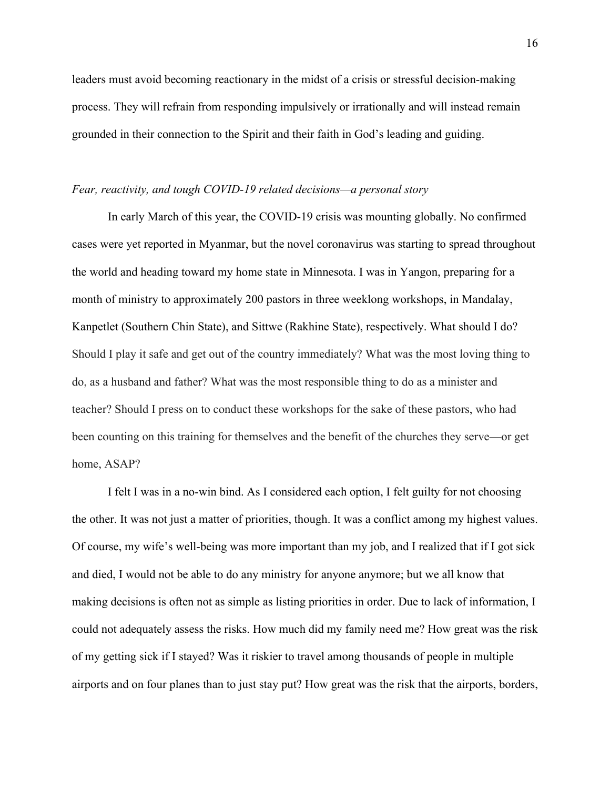leaders must avoid becoming reactionary in the midst of a crisis or stressful decision-making process. They will refrain from responding impulsively or irrationally and will instead remain grounded in their connection to the Spirit and their faith in God's leading and guiding.

#### *Fear, reactivity, and tough COVID-19 related decisions—a personal story*

In early March of this year, the COVID-19 crisis was mounting globally. No confirmed cases were yet reported in Myanmar, but the novel coronavirus was starting to spread throughout the world and heading toward my home state in Minnesota. I was in Yangon, preparing for a month of ministry to approximately 200 pastors in three weeklong workshops, in Mandalay, Kanpetlet (Southern Chin State), and Sittwe (Rakhine State), respectively. What should I do? Should I play it safe and get out of the country immediately? What was the most loving thing to do, as a husband and father? What was the most responsible thing to do as a minister and teacher? Should I press on to conduct these workshops for the sake of these pastors, who had been counting on this training for themselves and the benefit of the churches they serve—or get home, ASAP?

I felt I was in a no-win bind. As I considered each option, I felt guilty for not choosing the other. It was not just a matter of priorities, though. It was a conflict among my highest values. Of course, my wife's well-being was more important than my job, and I realized that if I got sick and died, I would not be able to do any ministry for anyone anymore; but we all know that making decisions is often not as simple as listing priorities in order. Due to lack of information, I could not adequately assess the risks. How much did my family need me? How great was the risk of my getting sick if I stayed? Was it riskier to travel among thousands of people in multiple airports and on four planes than to just stay put? How great was the risk that the airports, borders,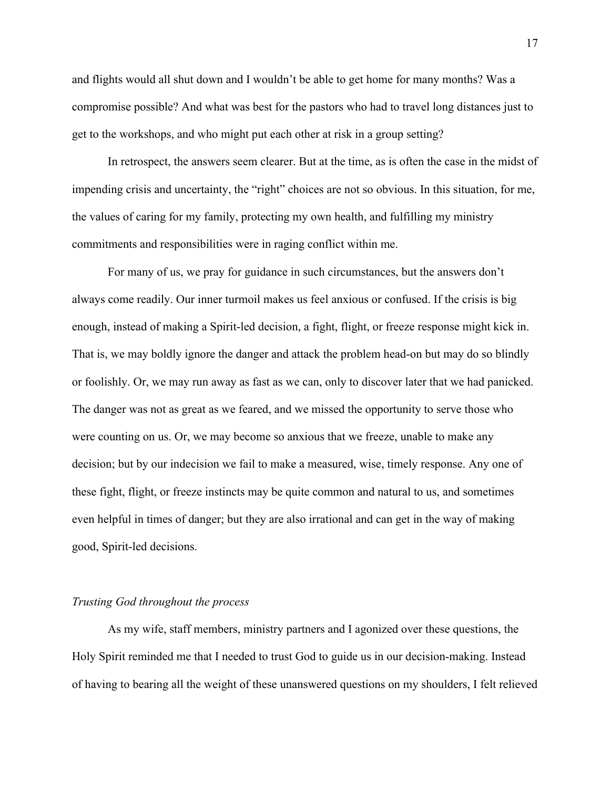and flights would all shut down and I wouldn't be able to get home for many months? Was a compromise possible? And what was best for the pastors who had to travel long distances just to get to the workshops, and who might put each other at risk in a group setting?

In retrospect, the answers seem clearer. But at the time, as is often the case in the midst of impending crisis and uncertainty, the "right" choices are not so obvious. In this situation, for me, the values of caring for my family, protecting my own health, and fulfilling my ministry commitments and responsibilities were in raging conflict within me.

For many of us, we pray for guidance in such circumstances, but the answers don't always come readily. Our inner turmoil makes us feel anxious or confused. If the crisis is big enough, instead of making a Spirit-led decision, a fight, flight, or freeze response might kick in. That is, we may boldly ignore the danger and attack the problem head-on but may do so blindly or foolishly. Or, we may run away as fast as we can, only to discover later that we had panicked. The danger was not as great as we feared, and we missed the opportunity to serve those who were counting on us. Or, we may become so anxious that we freeze, unable to make any decision; but by our indecision we fail to make a measured, wise, timely response. Any one of these fight, flight, or freeze instincts may be quite common and natural to us, and sometimes even helpful in times of danger; but they are also irrational and can get in the way of making good, Spirit-led decisions.

## *Trusting God throughout the process*

As my wife, staff members, ministry partners and I agonized over these questions, the Holy Spirit reminded me that I needed to trust God to guide us in our decision-making. Instead of having to bearing all the weight of these unanswered questions on my shoulders, I felt relieved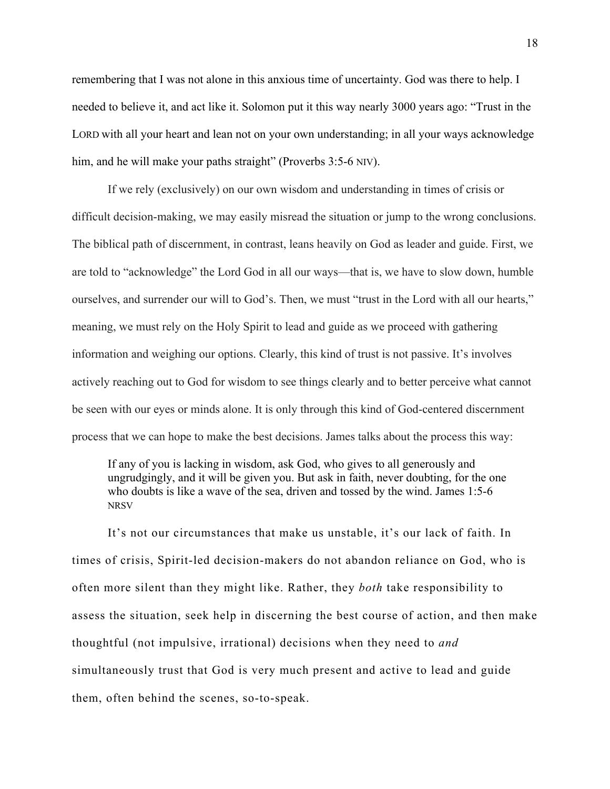remembering that I was not alone in this anxious time of uncertainty. God was there to help. I needed to believe it, and act like it. Solomon put it this way nearly 3000 years ago: "Trust in the LORD with all your heart and lean not on your own understanding; in all your ways acknowledge him, and he will make your paths straight" (Proverbs 3:5-6 NIV).

If we rely (exclusively) on our own wisdom and understanding in times of crisis or difficult decision-making, we may easily misread the situation or jump to the wrong conclusions. The biblical path of discernment, in contrast, leans heavily on God as leader and guide. First, we are told to "acknowledge" the Lord God in all our ways—that is, we have to slow down, humble ourselves, and surrender our will to God's. Then, we must "trust in the Lord with all our hearts," meaning, we must rely on the Holy Spirit to lead and guide as we proceed with gathering information and weighing our options. Clearly, this kind of trust is not passive. It's involves actively reaching out to God for wisdom to see things clearly and to better perceive what cannot be seen with our eyes or minds alone. It is only through this kind of God-centered discernment process that we can hope to make the best decisions. James talks about the process this way:

If any of you is lacking in wisdom, ask God, who gives to all generously and ungrudgingly, and it will be given you. But ask in faith, never doubting, for the one who doubts is like a wave of the sea, driven and tossed by the wind. James 1:5-6 NRSV

It's not our circumstances that make us unstable, it's our lack of faith. In times of crisis, Spirit-led decision-makers do not abandon reliance on God, who is often more silent than they might like. Rather, they *both* take responsibility to assess the situation, seek help in discerning the best course of action, and then make thoughtful (not impulsive, irrational) decisions when they need to *and* simultaneously trust that God is very much present and active to lead and guide them, often behind the scenes, so-to-speak.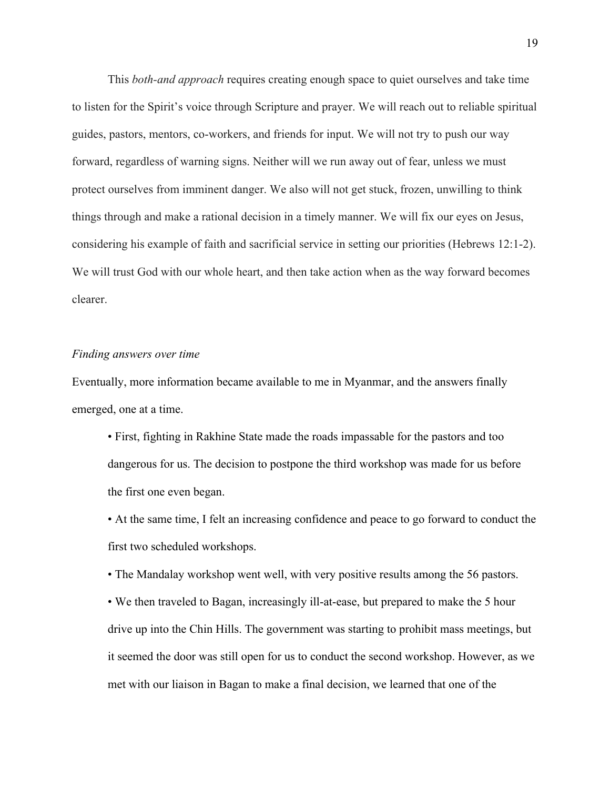This *both-and approach* requires creating enough space to quiet ourselves and take time to listen for the Spirit's voice through Scripture and prayer. We will reach out to reliable spiritual guides, pastors, mentors, co-workers, and friends for input. We will not try to push our way forward, regardless of warning signs. Neither will we run away out of fear, unless we must protect ourselves from imminent danger. We also will not get stuck, frozen, unwilling to think things through and make a rational decision in a timely manner. We will fix our eyes on Jesus, considering his example of faith and sacrificial service in setting our priorities (Hebrews 12:1-2). We will trust God with our whole heart, and then take action when as the way forward becomes clearer.

#### *Finding answers over time*

Eventually, more information became available to me in Myanmar, and the answers finally emerged, one at a time.

• First, fighting in Rakhine State made the roads impassable for the pastors and too dangerous for us. The decision to postpone the third workshop was made for us before the first one even began.

• At the same time, I felt an increasing confidence and peace to go forward to conduct the first two scheduled workshops.

• The Mandalay workshop went well, with very positive results among the 56 pastors.

• We then traveled to Bagan, increasingly ill-at-ease, but prepared to make the 5 hour drive up into the Chin Hills. The government was starting to prohibit mass meetings, but it seemed the door was still open for us to conduct the second workshop. However, as we met with our liaison in Bagan to make a final decision, we learned that one of the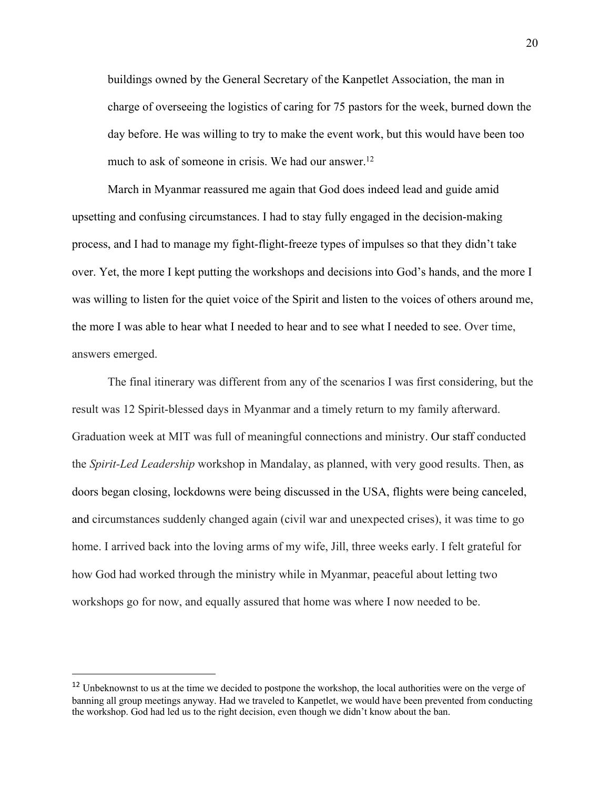buildings owned by the General Secretary of the Kanpetlet Association, the man in charge of overseeing the logistics of caring for 75 pastors for the week, burned down the day before. He was willing to try to make the event work, but this would have been too much to ask of someone in crisis. We had our answer.<sup>12</sup>

March in Myanmar reassured me again that God does indeed lead and guide amid upsetting and confusing circumstances. I had to stay fully engaged in the decision-making process, and I had to manage my fight-flight-freeze types of impulses so that they didn't take over. Yet, the more I kept putting the workshops and decisions into God's hands, and the more I was willing to listen for the quiet voice of the Spirit and listen to the voices of others around me, the more I was able to hear what I needed to hear and to see what I needed to see. Over time, answers emerged.

The final itinerary was different from any of the scenarios I was first considering, but the result was 12 Spirit-blessed days in Myanmar and a timely return to my family afterward. Graduation week at MIT was full of meaningful connections and ministry. Our staff conducted the *Spirit-Led Leadership* workshop in Mandalay, as planned, with very good results. Then, as doors began closing, lockdowns were being discussed in the USA, flights were being canceled, and circumstances suddenly changed again (civil war and unexpected crises), it was time to go home. I arrived back into the loving arms of my wife, Jill, three weeks early. I felt grateful for how God had worked through the ministry while in Myanmar, peaceful about letting two workshops go for now, and equally assured that home was where I now needed to be.

<sup>&</sup>lt;sup>12</sup> Unbeknownst to us at the time we decided to postpone the workshop, the local authorities were on the verge of banning all group meetings anyway. Had we traveled to Kanpetlet, we would have been prevented from conducting the workshop. God had led us to the right decision, even though we didn't know about the ban.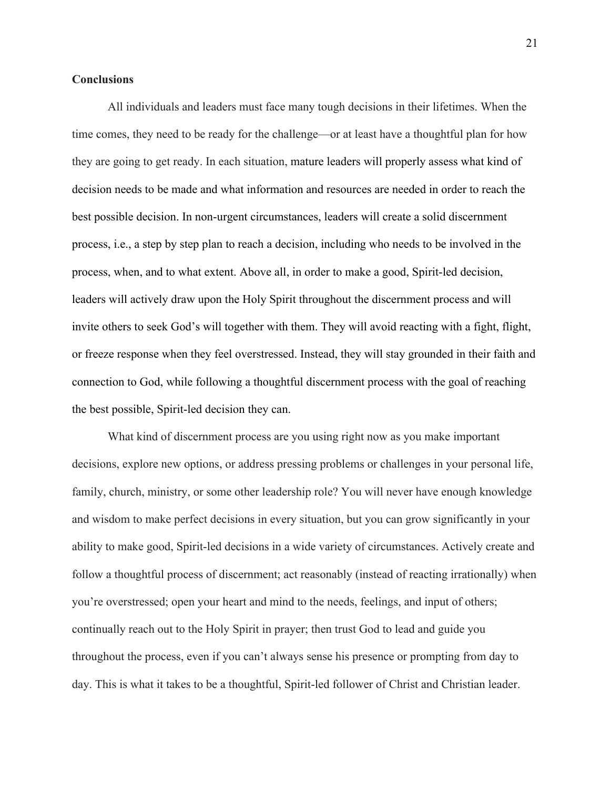## **Conclusions**

All individuals and leaders must face many tough decisions in their lifetimes. When the time comes, they need to be ready for the challenge—or at least have a thoughtful plan for how they are going to get ready. In each situation, mature leaders will properly assess what kind of decision needs to be made and what information and resources are needed in order to reach the best possible decision. In non-urgent circumstances, leaders will create a solid discernment process, i.e., a step by step plan to reach a decision, including who needs to be involved in the process, when, and to what extent. Above all, in order to make a good, Spirit-led decision, leaders will actively draw upon the Holy Spirit throughout the discernment process and will invite others to seek God's will together with them. They will avoid reacting with a fight, flight, or freeze response when they feel overstressed. Instead, they will stay grounded in their faith and connection to God, while following a thoughtful discernment process with the goal of reaching the best possible, Spirit-led decision they can.

What kind of discernment process are you using right now as you make important decisions, explore new options, or address pressing problems or challenges in your personal life, family, church, ministry, or some other leadership role? You will never have enough knowledge and wisdom to make perfect decisions in every situation, but you can grow significantly in your ability to make good, Spirit-led decisions in a wide variety of circumstances. Actively create and follow a thoughtful process of discernment; act reasonably (instead of reacting irrationally) when you're overstressed; open your heart and mind to the needs, feelings, and input of others; continually reach out to the Holy Spirit in prayer; then trust God to lead and guide you throughout the process, even if you can't always sense his presence or prompting from day to day. This is what it takes to be a thoughtful, Spirit-led follower of Christ and Christian leader.